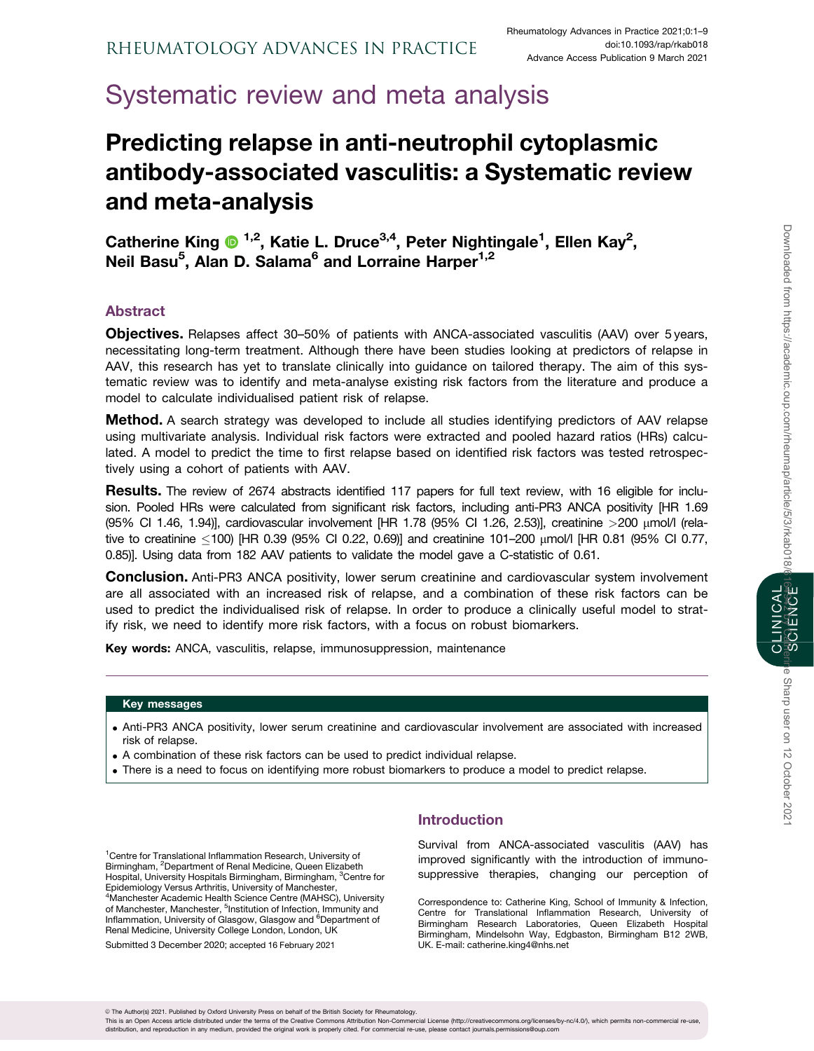# Systematic review and meta analysis

# Predicting relapse in anti-neutrophil cytoplasmic antibody-associated vasculitis: a Systematic review and meta-analysis

Catherine King <sup>1,2</sup>, Katie L. Druce<sup>3,4</sup>, Peter Nightingale<sup>1</sup>, Ellen Kay<sup>2</sup>, Neil Basu<sup>5</sup>, Alan D. Salama<sup>6</sup> and Lorraine Harper<sup>1,2</sup>

# Abstract

Objectives. Relapses affect 30–50% of patients with ANCA-associated vasculitis (AAV) over 5 years, necessitating long-term treatment. Although there have been studies looking at predictors of relapse in AAV, this research has yet to translate clinically into guidance on tailored therapy. The aim of this systematic review was to identify and meta-analyse existing risk factors from the literature and produce a model to calculate individualised patient risk of relapse.

**Method.** A search strategy was developed to include all studies identifying predictors of AAV relapse using multivariate analysis. Individual risk factors were extracted and pooled hazard ratios (HRs) calculated. A model to predict the time to first relapse based on identified risk factors was tested retrospectively using a cohort of patients with AAV.

Results. The review of 2674 abstracts identified 117 papers for full text review, with 16 eligible for inclusion. Pooled HRs were calculated from significant risk factors, including anti-PR3 ANCA positivity [HR 1.69 (95% CI 1.46, 1.94)], cardiovascular involvement [HR 1.78 (95% CI 1.26, 2.53)], creatinine >200 mmol/l (relative to creatinine -100) [HR 0.39 (95% CI 0.22, 0.69)] and creatinine 101–200 mmol/l [HR 0.81 (95% CI 0.77, 0.85)]. Using data from 182 AAV patients to validate the model gave a C-statistic of 0.61.

**Conclusion.** Anti-PR3 ANCA positivity, lower serum creatinine and cardiovascular system involvement are all associated with an increased risk of relapse, and a combination of these risk factors can be used to predict the individualised risk of relapse. In order to produce a clinically useful model to stratify risk, we need to identify more risk factors, with a focus on robust biomarkers.

Key words: ANCA, vasculitis, relapse, immunosuppression, maintenance

### Key messages

- . Anti-PR3 ANCA positivity, lower serum creatinine and cardiovascular involvement are associated with increased risk of relapse.
- . A combination of these risk factors can be used to predict individual relapse.
- . There is a need to focus on identifying more robust biomarkers to produce a model to predict relapse.

<sup>1</sup> Centre for Translational Inflammation Research, University of Birmingham, <sup>2</sup>Department of Renal Medicine, Queen Elizabeth Hospital, University Hospitals Birmingham, Birmingham, <sup>3</sup>Centre for Epidemiology Versus Arthritis, University of Manchester, 4 Manchester Academic Health Science Centre (MAHSC), University of Manchester, Manchester, <sup>5</sup>Institution of Infection, Immunity and Inflammation, University of Glasgow, Glasgow and <sup>6</sup>Department of Renal Medicine, University College London, London, UK

Submitted 3 December 2020; accepted 16 February 2021

# Introduction

Survival from ANCA-associated vasculitis (AAV) has improved significantly with the introduction of immunosuppressive therapies, changing our perception of

Correspondence to: Catherine King, School of Immunity & Infection, Centre for Translational Inflammation Research, University of Birmingham Research Laboratories, Queen Elizabeth Hospital Birmingham, Mindelsohn Way, Edgbaston, Birmingham B12 2WB, UK. E-mail: catherine.king4@nhs.net

ne Sharp user on 12 October 2021

This is an Open Access article distributed under the terms of the Creative Commons Attribution Non-Commercial License (http://creativecommons.org/licenses/by-nc/4.0/), which permits non-commercial re-use distribution, and reproduction in any medium, provided the original work is properly cited. For commercial re-use, please contact journals.permissions@oup.com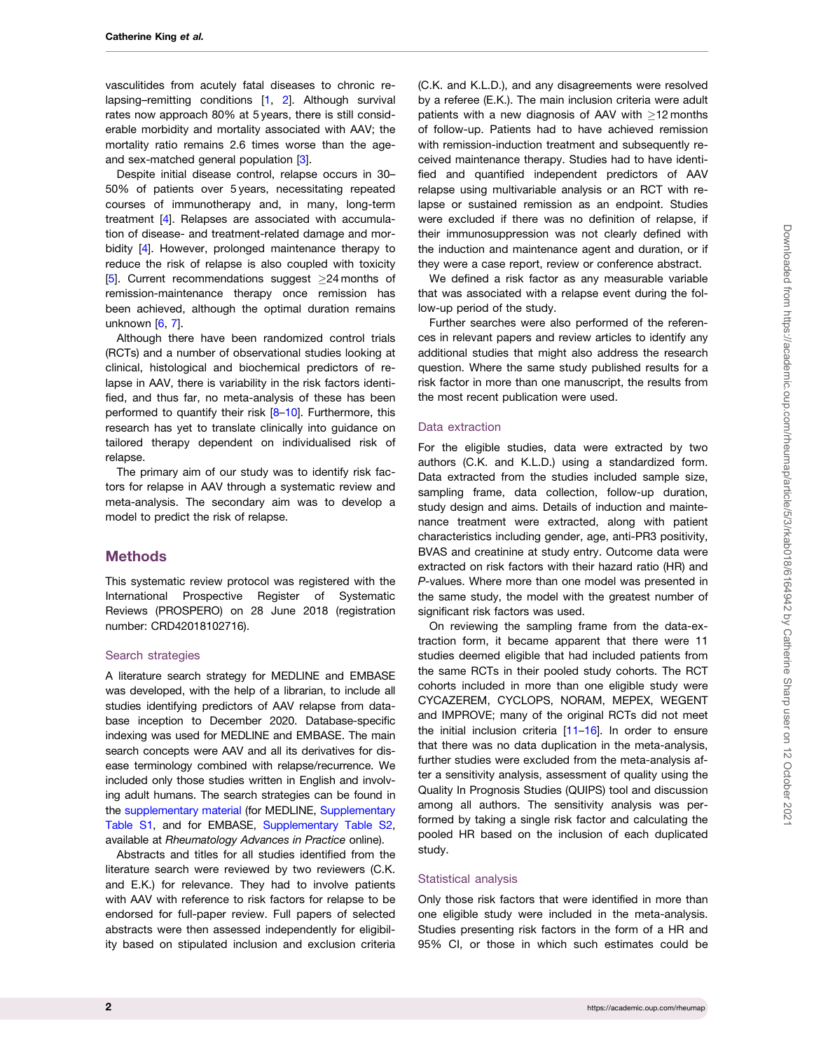<span id="page-1-0"></span>vasculitides from acutely fatal diseases to chronic relapsing–remitting conditions [[1,](#page-7-0) [2](#page-7-0)]. Although survival rates now approach 80% at 5 years, there is still considerable morbidity and mortality associated with AAV; the mortality ratio remains 2.6 times worse than the ageand sex-matched general population [[3](#page-7-0)].

Despite initial disease control, relapse occurs in 30– 50% of patients over 5 years, necessitating repeated courses of immunotherapy and, in many, long-term treatment [\[4](#page-7-0)]. Relapses are associated with accumulation of disease- and treatment-related damage and morbidity [[4](#page-7-0)]. However, prolonged maintenance therapy to reduce the risk of relapse is also coupled with toxicity [[5](#page-7-0)]. Current recommendations suggest  $\geq$ 24 months of remission-maintenance therapy once remission has been achieved, although the optimal duration remains unknown [[6,](#page-7-0) [7\]](#page-7-0).

Although there have been randomized control trials (RCTs) and a number of observational studies looking at clinical, histological and biochemical predictors of relapse in AAV, there is variability in the risk factors identified, and thus far, no meta-analysis of these has been performed to quantify their risk [[8–10\]](#page-7-0). Furthermore, this research has yet to translate clinically into guidance on tailored therapy dependent on individualised risk of relapse.

The primary aim of our study was to identify risk factors for relapse in AAV through a systematic review and meta-analysis. The secondary aim was to develop a model to predict the risk of relapse.

### **Methods**

This systematic review protocol was registered with the International Prospective Register of Systematic Reviews (PROSPERO) on 28 June 2018 (registration number: CRD42018102716).

#### Search strategies

A literature search strategy for MEDLINE and EMBASE was developed, with the help of a librarian, to include all studies identifying predictors of AAV relapse from database inception to December 2020. Database-specific indexing was used for MEDLINE and EMBASE. The main search concepts were AAV and all its derivatives for disease terminology combined with relapse/recurrence. We included only those studies written in English and involving adult humans. The search strategies can be found in the [supplementary material](https://academic.oup.com/rheumap/article-lookup/doi/10.1093/rap/rkab018#supplementary-data) (for MEDLINE, [Supplementary](https://academic.oup.com/rheumap/article-lookup/doi/10.1093/rap/rkab018#supplementary-data) [Table S1,](https://academic.oup.com/rheumap/article-lookup/doi/10.1093/rap/rkab018#supplementary-data) and for EMBASE, [Supplementary Table S2](https://academic.oup.com/rheumap/article-lookup/doi/10.1093/rap/rkab018#supplementary-data), available at Rheumatology Advances in Practice online).

Abstracts and titles for all studies identified from the literature search were reviewed by two reviewers (C.K. and E.K.) for relevance. They had to involve patients with AAV with reference to risk factors for relapse to be endorsed for full-paper review. Full papers of selected abstracts were then assessed independently for eligibility based on stipulated inclusion and exclusion criteria

(C.K. and K.L.D.), and any disagreements were resolved by a referee (E.K.). The main inclusion criteria were adult patients with a new diagnosis of AAV with  $>12$  months of follow-up. Patients had to have achieved remission with remission-induction treatment and subsequently received maintenance therapy. Studies had to have identified and quantified independent predictors of AAV relapse using multivariable analysis or an RCT with relapse or sustained remission as an endpoint. Studies were excluded if there was no definition of relapse, if their immunosuppression was not clearly defined with the induction and maintenance agent and duration, or if they were a case report, review or conference abstract.

We defined a risk factor as any measurable variable that was associated with a relapse event during the follow-up period of the study.

Further searches were also performed of the references in relevant papers and review articles to identify any additional studies that might also address the research question. Where the same study published results for a risk factor in more than one manuscript, the results from the most recent publication were used.

#### Data extraction

For the eligible studies, data were extracted by two authors (C.K. and K.L.D.) using a standardized form. Data extracted from the studies included sample size, sampling frame, data collection, follow-up duration, study design and aims. Details of induction and maintenance treatment were extracted, along with patient characteristics including gender, age, anti-PR3 positivity, BVAS and creatinine at study entry. Outcome data were extracted on risk factors with their hazard ratio (HR) and P-values. Where more than one model was presented in the same study, the model with the greatest number of significant risk factors was used.

On reviewing the sampling frame from the data-extraction form, it became apparent that there were 11 studies deemed eligible that had included patients from the same RCTs in their pooled study cohorts. The RCT cohorts included in more than one eligible study were CYCAZEREM, CYCLOPS, NORAM, MEPEX, WEGENT and IMPROVE; many of the original RCTs did not meet the initial inclusion criteria [\[11–16](#page-7-0)]. In order to ensure that there was no data duplication in the meta-analysis, further studies were excluded from the meta-analysis after a sensitivity analysis, assessment of quality using the Quality In Prognosis Studies (QUIPS) tool and discussion among all authors. The sensitivity analysis was performed by taking a single risk factor and calculating the pooled HR based on the inclusion of each duplicated study.

#### Statistical analysis

Only those risk factors that were identified in more than one eligible study were included in the meta-analysis. Studies presenting risk factors in the form of a HR and 95% CI, or those in which such estimates could be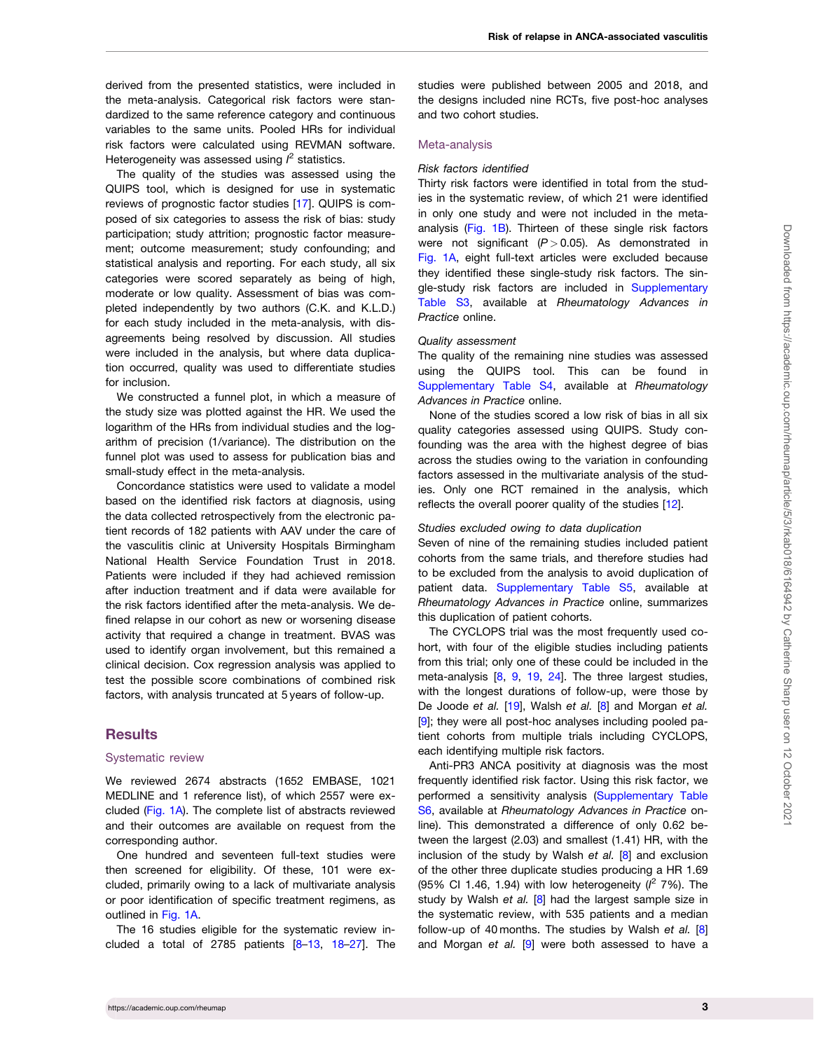<span id="page-2-0"></span>derived from the presented statistics, were included in the meta-analysis. Categorical risk factors were standardized to the same reference category and continuous variables to the same units. Pooled HRs for individual risk factors were calculated using REVMAN software. Heterogeneity was assessed using  $l^2$  statistics.

The quality of the studies was assessed using the QUIPS tool, which is designed for use in systematic reviews of prognostic factor studies [[17](#page-7-0)]. QUIPS is composed of six categories to assess the risk of bias: study participation; study attrition; prognostic factor measurement; outcome measurement; study confounding; and statistical analysis and reporting. For each study, all six categories were scored separately as being of high, moderate or low quality. Assessment of bias was completed independently by two authors (C.K. and K.L.D.) for each study included in the meta-analysis, with disagreements being resolved by discussion. All studies were included in the analysis, but where data duplication occurred, quality was used to differentiate studies for inclusion.

We constructed a funnel plot, in which a measure of the study size was plotted against the HR. We used the logarithm of the HRs from individual studies and the logarithm of precision (1/variance). The distribution on the funnel plot was used to assess for publication bias and small-study effect in the meta-analysis.

Concordance statistics were used to validate a model based on the identified risk factors at diagnosis, using the data collected retrospectively from the electronic patient records of 182 patients with AAV under the care of the vasculitis clinic at University Hospitals Birmingham National Health Service Foundation Trust in 2018. Patients were included if they had achieved remission after induction treatment and if data were available for the risk factors identified after the meta-analysis. We defined relapse in our cohort as new or worsening disease activity that required a change in treatment. BVAS was used to identify organ involvement, but this remained a clinical decision. Cox regression analysis was applied to test the possible score combinations of combined risk factors, with analysis truncated at 5 years of follow-up.

## **Results**

#### Systematic review

We reviewed 2674 abstracts (1652 EMBASE, 1021 MEDLINE and 1 reference list), of which 2557 were excluded [\(Fig. 1A\)](#page-3-0). The complete list of abstracts reviewed and their outcomes are available on request from the corresponding author.

One hundred and seventeen full-text studies were then screened for eligibility. Of these, 101 were excluded, primarily owing to a lack of multivariate analysis or poor identification of specific treatment regimens, as outlined in [Fig. 1A.](#page-3-0)

The 16 studies eligible for the systematic review in-cluded a total of 27[8](#page-7-0)5 patients  $[8-13, 18-27]$  $[8-13, 18-27]$  $[8-13, 18-27]$  $[8-13, 18-27]$  $[8-13, 18-27]$ . The studies were published between 2005 and 2018, and the designs included nine RCTs, five post-hoc analyses and two cohort studies.

#### Meta-analysis

#### Risk factors identified

Thirty risk factors were identified in total from the studies in the systematic review, of which 21 were identified in only one study and were not included in the metaanalysis ([Fig. 1B\)](#page-3-0). Thirteen of these single risk factors were not significant  $(P > 0.05)$ . As demonstrated in [Fig. 1A](#page-3-0), eight full-text articles were excluded because they identified these single-study risk factors. The single-study risk factors are included in [Supplementary](https://academic.oup.com/rheumap/article-lookup/doi/10.1093/rap/rkab018#supplementary-data) [Table S3](https://academic.oup.com/rheumap/article-lookup/doi/10.1093/rap/rkab018#supplementary-data), available at Rheumatology Advances in Practice online.

#### Quality assessment

The quality of the remaining nine studies was assessed using the QUIPS tool. This can be found in [Supplementary Table S4](https://academic.oup.com/rheumap/article-lookup/doi/10.1093/rap/rkab018#supplementary-data), available at Rheumatology Advances in Practice online.

None of the studies scored a low risk of bias in all six quality categories assessed using QUIPS. Study confounding was the area with the highest degree of bias across the studies owing to the variation in confounding factors assessed in the multivariate analysis of the studies. Only one RCT remained in the analysis, which reflects the overall poorer quality of the studies [[12](#page-7-0)].

#### Studies excluded owing to data duplication

Seven of nine of the remaining studies included patient cohorts from the same trials, and therefore studies had to be excluded from the analysis to avoid duplication of patient data. [Supplementary Table S5](https://academic.oup.com/rheumap/article-lookup/doi/10.1093/rap/rkab018#supplementary-data), available at Rheumatology Advances in Practice online, summarizes this duplication of patient cohorts.

The CYCLOPS trial was the most frequently used cohort, with four of the eligible studies including patients from this trial; only one of these could be included in the meta-analysis [[8,](#page-7-0) [9,](#page-7-0) [19](#page-7-0), [24](#page-8-0)]. The three largest studies, with the longest durations of follow-up, were those by De Joode et al. [[19](#page-7-0)], Walsh et al. [[8\]](#page-7-0) and Morgan et al. [[9\]](#page-7-0); they were all post-hoc analyses including pooled patient cohorts from multiple trials including CYCLOPS, each identifying multiple risk factors.

Anti-PR3 ANCA positivity at diagnosis was the most frequently identified risk factor. Using this risk factor, we performed a sensitivity analysis [\(Supplementary Table](https://academic.oup.com/rheumap/article-lookup/doi/10.1093/rap/rkab018#supplementary-data) [S6,](https://academic.oup.com/rheumap/article-lookup/doi/10.1093/rap/rkab018#supplementary-data) available at Rheumatology Advances in Practice online). This demonstrated a difference of only 0.62 between the largest (2.03) and smallest (1.41) HR, with the inclusion of the study by Walsh et al. [\[8](#page-7-0)] and exclusion of the other three duplicate studies producing a HR 1.69 (95% Cl 1.46, 1.94) with low heterogeneity ( $l^2$  7%). The study by Walsh et al.  $[8]$  $[8]$  had the largest sample size in the systematic review, with 535 patients and a median follow-up of 40 months. The studies by Walsh et al.  $[8]$  $[8]$ and Morgan et al.  $[9]$  $[9]$  were both assessed to have a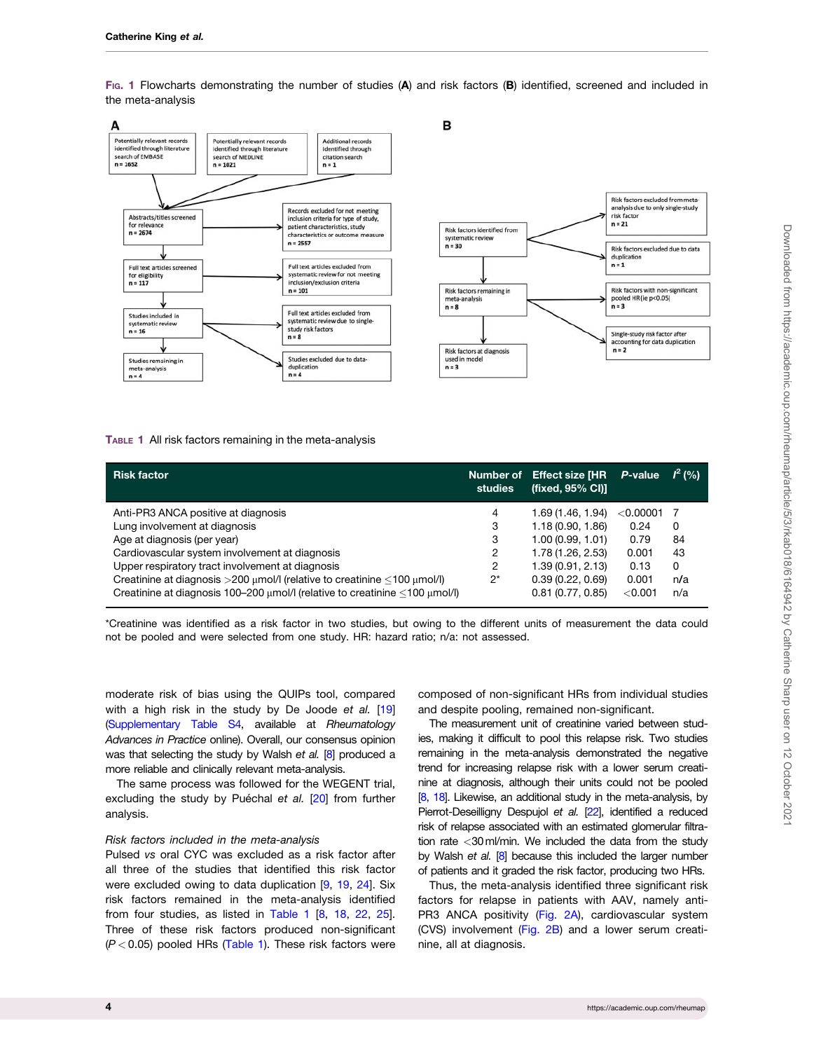<span id="page-3-0"></span>FIG. 1 Flowcharts demonstrating the number of studies (A) and risk factors (B) identified, screened and included in the meta-analysis



#### TABLE 1 All risk factors remaining in the meta-analysis

| <b>Risk factor</b>                                                                    | Number of<br>studies | <b>Effect size [HR</b><br>(fixed, 95% CI)] | P-value     | $I^2(%$ |
|---------------------------------------------------------------------------------------|----------------------|--------------------------------------------|-------------|---------|
| Anti-PR3 ANCA positive at diagnosis                                                   | 4                    | 1.69 (1.46, 1.94)                          | $<$ 0.00001 |         |
| Lung involvement at diagnosis                                                         | 3                    | 1.18(0.90, 1.86)                           | 0.24        | 0       |
| Age at diagnosis (per year)                                                           | 3                    | 1.00(0.99, 1.01)                           | 0.79        | 84      |
| Cardiovascular system involvement at diagnosis                                        | 2                    | 1.78 (1.26, 2.53)                          | 0.001       | 43      |
| Upper respiratory tract involvement at diagnosis                                      | 2                    | 1.39(0.91, 2.13)                           | 0.13        | 0       |
| Creatinine at diagnosis $>200$ µmol/l (relative to creatinine <100 µmol/l)            | $2^*$                | 0.39(0.22, 0.69)                           | 0.001       | n/a     |
| Creatinine at diagnosis 100-200 $\mu$ mol/I (relative to creatinine <100 $\mu$ mol/I) |                      | 0.81(0.77, 0.85)                           | < 0.001     | n/a     |

\*Creatinine was identified as a risk factor in two studies, but owing to the different units of measurement the data could not be pooled and were selected from one study. HR: hazard ratio; n/a: not assessed.

moderate risk of bias using the QUIPs tool, compared with a high risk in the study by De Joode et al. [\[19](#page-7-0)] [\(Supplementary Table S4](https://academic.oup.com/rheumap/article-lookup/doi/10.1093/rap/rkab018#supplementary-data), available at Rheumatology Advances in Practice online). Overall, our consensus opinion was that selecting the study by Walsh et al. [[8](#page-7-0)] produced a more reliable and clinically relevant meta-analysis.

The same process was followed for the WEGENT trial, excluding the study by Puéchal et al.  $[20]$  $[20]$  from further analysis.

#### Risk factors included in the meta-analysis

Pulsed vs oral CYC was excluded as a risk factor after all three of the studies that identified this risk factor were excluded owing to data duplication [\[9](#page-7-0), [19,](#page-7-0) [24](#page-8-0)]. Six risk factors remained in the meta-analysis identified from four studies, as listed in Table 1 [[8,](#page-7-0) [18,](#page-7-0) [22,](#page-8-0) [25](#page-8-0)]. Three of these risk factors produced non-significant  $(P < 0.05)$  pooled HRs (Table 1). These risk factors were

composed of non-significant HRs from individual studies and despite pooling, remained non-significant.

The measurement unit of creatinine varied between studies, making it difficult to pool this relapse risk. Two studies remaining in the meta-analysis demonstrated the negative trend for increasing relapse risk with a lower serum creatinine at diagnosis, although their units could not be pooled [[8,](#page-7-0) [18\]](#page-7-0). Likewise, an additional study in the meta-analysis, by Pierrot-Deseilligny Despujol et al. [\[22\]](#page-8-0), identified a reduced risk of relapse associated with an estimated glomerular filtration rate <30ml/min. We included the data from the study by Walsh et al. [\[8\]](#page-7-0) because this included the larger number of patients and it graded the risk factor, producing two HRs.

Thus, the meta-analysis identified three significant risk factors for relapse in patients with AAV, namely anti-PR3 ANCA positivity [\(Fig. 2A\)](#page-4-0), cardiovascular system (CVS) involvement [\(Fig. 2B](#page-4-0)) and a lower serum creatinine, all at diagnosis.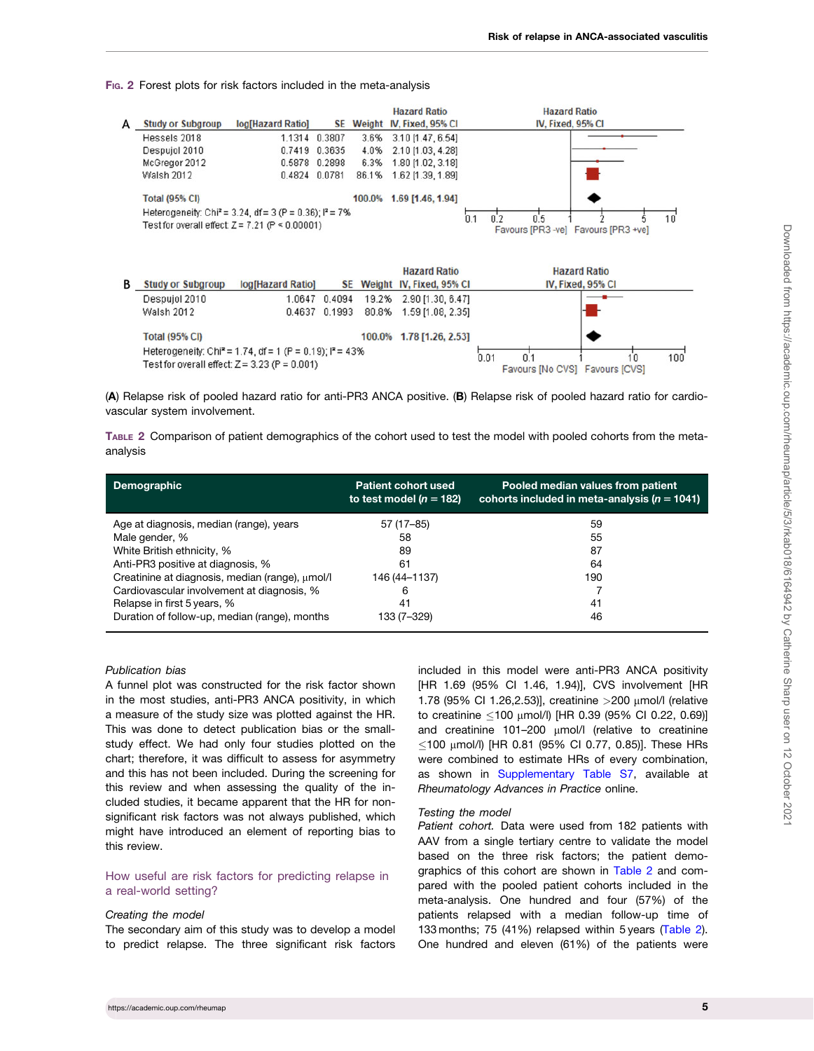<span id="page-4-0"></span>FIG. 2 Forest plots for risk factors included in the meta-analysis



(A) Relapse risk of pooled hazard ratio for anti-PR3 ANCA positive. (B) Relapse risk of pooled hazard ratio for cardiovascular system involvement.

TABLE 2 Comparison of patient demographics of the cohort used to test the model with pooled cohorts from the metaanalysis

| <b>Demographic</b>                              | <b>Patient cohort used</b><br>to test model ( $n = 182$ ) | Pooled median values from patient<br>cohorts included in meta-analysis ( $n = 1041$ ) |
|-------------------------------------------------|-----------------------------------------------------------|---------------------------------------------------------------------------------------|
| Age at diagnosis, median (range), years         | 57 (17-85)                                                | 59                                                                                    |
| Male gender, %                                  | 58                                                        | 55                                                                                    |
| White British ethnicity, %                      | 89                                                        | 87                                                                                    |
| Anti-PR3 positive at diagnosis, %               | 61                                                        | 64                                                                                    |
| Creatinine at diagnosis, median (range), umol/l | 146 (44–1137)                                             | 190                                                                                   |
| Cardiovascular involvement at diagnosis, %      | 6                                                         |                                                                                       |
| Relapse in first 5 years, %                     | 41                                                        | 41                                                                                    |
| Duration of follow-up, median (range), months   | 133 (7–329)                                               | 46                                                                                    |

#### Publication bias

A funnel plot was constructed for the risk factor shown in the most studies, anti-PR3 ANCA positivity, in which a measure of the study size was plotted against the HR. This was done to detect publication bias or the smallstudy effect. We had only four studies plotted on the chart; therefore, it was difficult to assess for asymmetry and this has not been included. During the screening for this review and when assessing the quality of the included studies, it became apparent that the HR for nonsignificant risk factors was not always published, which might have introduced an element of reporting bias to this review.

#### How useful are risk factors for predicting relapse in a real-world setting?

#### Creating the model

The secondary aim of this study was to develop a model to predict relapse. The three significant risk factors

included in this model were anti-PR3 ANCA positivity [HR 1.69 (95% CI 1.46, 1.94)], CVS involvement [HR 1.78 (95% CI 1.26,2.53)], creatinine >200 mmol/l (relative to creatinine ≤100 μmol/l) [HR 0.39 (95% Cl 0.22, 0.69)] and creatinine 101-200  $\mu$ mol/l (relative to creatinine  $\leq$ 100 µmol/l) [HR 0.81 (95% CI 0.77, 0.85)]. These HRs were combined to estimate HRs of every combination, as shown in [Supplementary Table S7,](https://academic.oup.com/rheumap/article-lookup/doi/10.1093/rap/rkab018#supplementary-data) available at Rheumatology Advances in Practice online.

#### Testing the model

Patient cohort. Data were used from 182 patients with AAV from a single tertiary centre to validate the model based on the three risk factors; the patient demographics of this cohort are shown in Table 2 and compared with the pooled patient cohorts included in the meta-analysis. One hundred and four (57%) of the patients relapsed with a median follow-up time of 133 months; 75 (41%) relapsed within 5 years (Table 2). One hundred and eleven (61%) of the patients were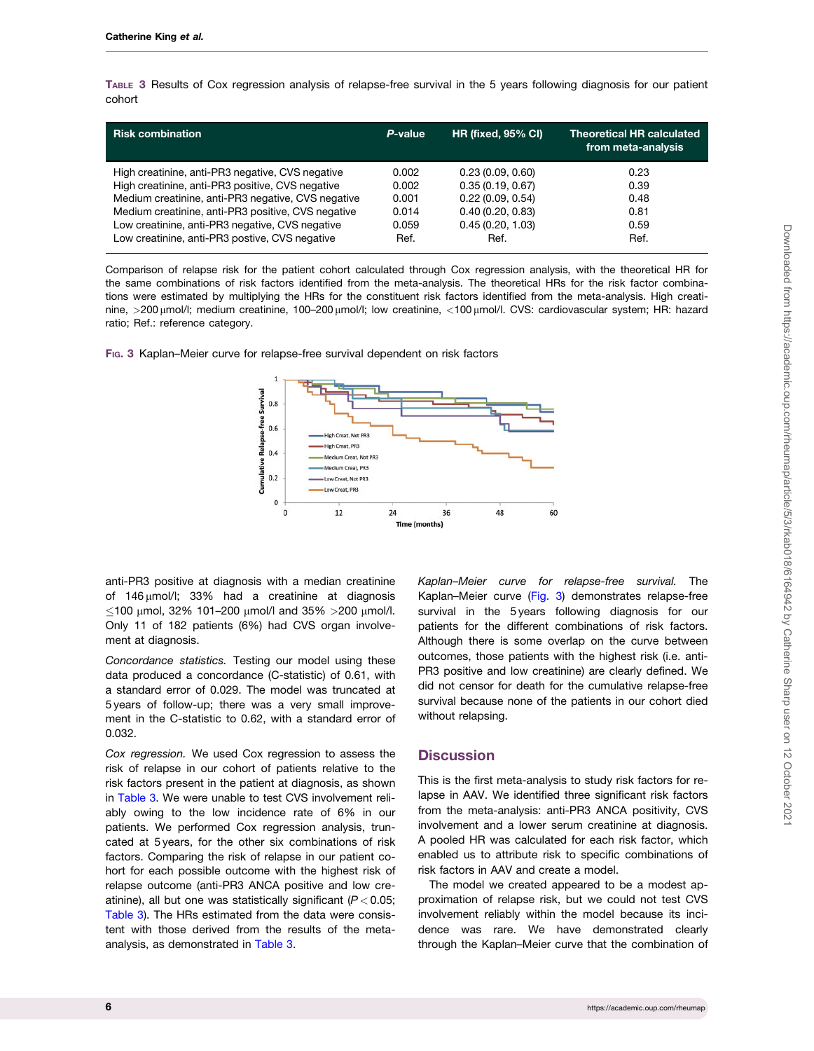TABLE 3 Results of Cox regression analysis of relapse-free survival in the 5 years following diagnosis for our patient cohort

| <b>Risk combination</b>                            | P-value | <b>HR (fixed, 95% CI)</b> | <b>Theoretical HR calculated</b><br>from meta-analysis |
|----------------------------------------------------|---------|---------------------------|--------------------------------------------------------|
| High creatinine, anti-PR3 negative, CVS negative   | 0.002   | 0.23(0.09, 0.60)          | 0.23                                                   |
| High creatinine, anti-PR3 positive, CVS negative   | 0.002   | 0.35(0.19, 0.67)          | 0.39                                                   |
| Medium creatinine, anti-PR3 negative, CVS negative | 0.001   | 0.22(0.09, 0.54)          | 0.48                                                   |
| Medium creatinine, anti-PR3 positive, CVS negative | 0.014   | 0.40(0.20, 0.83)          | 0.81                                                   |
| Low creatinine, anti-PR3 negative, CVS negative    | 0.059   | 0.45(0.20, 1.03)          | 0.59                                                   |
| Low creatinine, anti-PR3 postive, CVS negative     | Ref.    | Ref.                      | Ref.                                                   |

Comparison of relapse risk for the patient cohort calculated through Cox regression analysis, with the theoretical HR for the same combinations of risk factors identified from the meta-analysis. The theoretical HRs for the risk factor combinations were estimated by multiplying the HRs for the constituent risk factors identified from the meta-analysis. High creatinine, >200 µmol/l; medium creatinine, 100-200 µmol/l; low creatinine, <100 µmol/l. CVS: cardiovascular system; HR: hazard ratio; Ref.: reference category.



FIG. 3 Kaplan–Meier curve for relapse-free survival dependent on risk factors

anti-PR3 positive at diagnosis with a median creatinine of  $146 \mu$ mol/l; 33% had a creatinine at diagnosis  $\leq$ 100 μmol, 32% 101–200 μmol/l and 35% >200 μmol/l. Only 11 of 182 patients (6%) had CVS organ involvement at diagnosis.

Concordance statistics. Testing our model using these data produced a concordance (C-statistic) of 0.61, with a standard error of 0.029. The model was truncated at 5 years of follow-up; there was a very small improvement in the C-statistic to 0.62, with a standard error of 0.032.

Cox regression. We used Cox regression to assess the risk of relapse in our cohort of patients relative to the risk factors present in the patient at diagnosis, as shown in Table 3. We were unable to test CVS involvement reliably owing to the low incidence rate of 6% in our patients. We performed Cox regression analysis, truncated at 5 years, for the other six combinations of risk factors. Comparing the risk of relapse in our patient cohort for each possible outcome with the highest risk of relapse outcome (anti-PR3 ANCA positive and low creatinine), all but one was statistically significant  $(P < 0.05$ ; Table 3). The HRs estimated from the data were consistent with those derived from the results of the metaanalysis, as demonstrated in Table 3.

Kaplan–Meier curve for relapse-free survival. The Kaplan–Meier curve (Fig. 3) demonstrates relapse-free survival in the 5 years following diagnosis for our patients for the different combinations of risk factors. Although there is some overlap on the curve between outcomes, those patients with the highest risk (i.e. anti-PR3 positive and low creatinine) are clearly defined. We did not censor for death for the cumulative relapse-free survival because none of the patients in our cohort died without relapsing.

## **Discussion**

This is the first meta-analysis to study risk factors for relapse in AAV. We identified three significant risk factors from the meta-analysis: anti-PR3 ANCA positivity, CVS involvement and a lower serum creatinine at diagnosis. A pooled HR was calculated for each risk factor, which enabled us to attribute risk to specific combinations of risk factors in AAV and create a model.

The model we created appeared to be a modest approximation of relapse risk, but we could not test CVS involvement reliably within the model because its incidence was rare. We have demonstrated clearly through the Kaplan–Meier curve that the combination of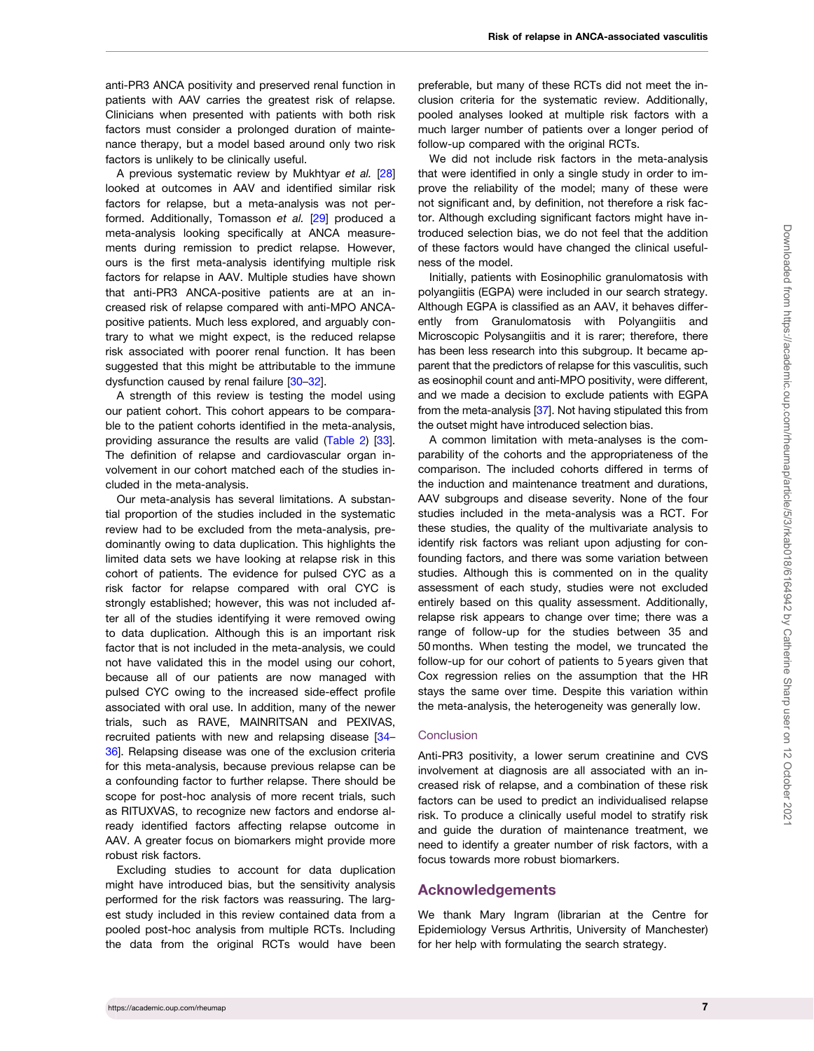<span id="page-6-0"></span>anti-PR3 ANCA positivity and preserved renal function in patients with AAV carries the greatest risk of relapse. Clinicians when presented with patients with both risk factors must consider a prolonged duration of maintenance therapy, but a model based around only two risk factors is unlikely to be clinically useful.

A previous systematic review by Mukhtyar et al. [\[28](#page-8-0)] looked at outcomes in AAV and identified similar risk factors for relapse, but a meta-analysis was not performed. Additionally, Tomasson et al. [[29](#page-8-0)] produced a meta-analysis looking specifically at ANCA measurements during remission to predict relapse. However, ours is the first meta-analysis identifying multiple risk factors for relapse in AAV. Multiple studies have shown that anti-PR3 ANCA-positive patients are at an increased risk of relapse compared with anti-MPO ANCApositive patients. Much less explored, and arguably contrary to what we might expect, is the reduced relapse risk associated with poorer renal function. It has been suggested that this might be attributable to the immune dysfunction caused by renal failure [\[30–32](#page-8-0)].

A strength of this review is testing the model using our patient cohort. This cohort appears to be comparable to the patient cohorts identified in the meta-analysis, providing assurance the results are valid ([Table 2](#page-4-0)) [[33](#page-8-0)]. The definition of relapse and cardiovascular organ involvement in our cohort matched each of the studies included in the meta-analysis.

Our meta-analysis has several limitations. A substantial proportion of the studies included in the systematic review had to be excluded from the meta-analysis, predominantly owing to data duplication. This highlights the limited data sets we have looking at relapse risk in this cohort of patients. The evidence for pulsed CYC as a risk factor for relapse compared with oral CYC is strongly established; however, this was not included after all of the studies identifying it were removed owing to data duplication. Although this is an important risk factor that is not included in the meta-analysis, we could not have validated this in the model using our cohort, because all of our patients are now managed with pulsed CYC owing to the increased side-effect profile associated with oral use. In addition, many of the newer trials, such as RAVE, MAINRITSAN and PEXIVAS, recruited patients with new and relapsing disease [[34](#page-8-0)– [36\]](#page-8-0). Relapsing disease was one of the exclusion criteria for this meta-analysis, because previous relapse can be a confounding factor to further relapse. There should be scope for post-hoc analysis of more recent trials, such as RITUXVAS, to recognize new factors and endorse already identified factors affecting relapse outcome in AAV. A greater focus on biomarkers might provide more robust risk factors.

Excluding studies to account for data duplication might have introduced bias, but the sensitivity analysis performed for the risk factors was reassuring. The largest study included in this review contained data from a pooled post-hoc analysis from multiple RCTs. Including the data from the original RCTs would have been

preferable, but many of these RCTs did not meet the inclusion criteria for the systematic review. Additionally, pooled analyses looked at multiple risk factors with a much larger number of patients over a longer period of follow-up compared with the original RCTs.

We did not include risk factors in the meta-analysis that were identified in only a single study in order to improve the reliability of the model; many of these were not significant and, by definition, not therefore a risk factor. Although excluding significant factors might have introduced selection bias, we do not feel that the addition of these factors would have changed the clinical usefulness of the model.

Initially, patients with Eosinophilic granulomatosis with polyangiitis (EGPA) were included in our search strategy. Although EGPA is classified as an AAV, it behaves differently from Granulomatosis with Polyangiitis and Microscopic Polysangiitis and it is rarer; therefore, there has been less research into this subgroup. It became apparent that the predictors of relapse for this vasculitis, such as eosinophil count and anti-MPO positivity, were different, and we made a decision to exclude patients with EGPA from the meta-analysis [[37\]](#page-8-0). Not having stipulated this from the outset might have introduced selection bias.

A common limitation with meta-analyses is the comparability of the cohorts and the appropriateness of the comparison. The included cohorts differed in terms of the induction and maintenance treatment and durations, AAV subgroups and disease severity. None of the four studies included in the meta-analysis was a RCT. For these studies, the quality of the multivariate analysis to identify risk factors was reliant upon adjusting for confounding factors, and there was some variation between studies. Although this is commented on in the quality assessment of each study, studies were not excluded entirely based on this quality assessment. Additionally, relapse risk appears to change over time; there was a range of follow-up for the studies between 35 and 50 months. When testing the model, we truncated the follow-up for our cohort of patients to 5 years given that Cox regression relies on the assumption that the HR stays the same over time. Despite this variation within the meta-analysis, the heterogeneity was generally low.

#### **Conclusion**

Anti-PR3 positivity, a lower serum creatinine and CVS involvement at diagnosis are all associated with an increased risk of relapse, and a combination of these risk factors can be used to predict an individualised relapse risk. To produce a clinically useful model to stratify risk and guide the duration of maintenance treatment, we need to identify a greater number of risk factors, with a focus towards more robust biomarkers.

## Acknowledgements

We thank Mary Ingram (librarian at the Centre for Epidemiology Versus Arthritis, University of Manchester) for her help with formulating the search strategy.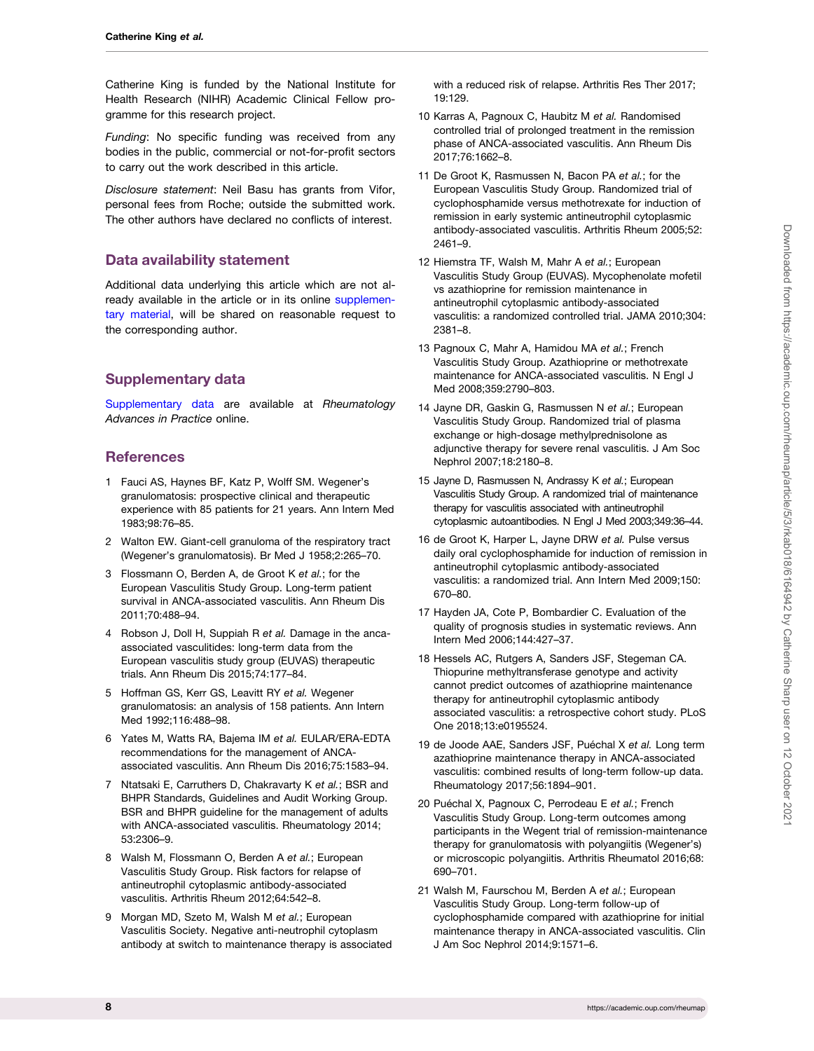<span id="page-7-0"></span>Catherine King is funded by the National Institute for Health Research (NIHR) Academic Clinical Fellow programme for this research project.

Funding: No specific funding was received from any bodies in the public, commercial or not-for-profit sectors to carry out the work described in this article.

Disclosure statement: Neil Basu has grants from Vifor, personal fees from Roche; outside the submitted work. The other authors have declared no conflicts of interest.

## Data availability statement

Additional data underlying this article which are not already available in the article or in its online [supplemen](https://academic.oup.com/rheumap/article-lookup/doi/10.1093/rap/rkab018#supplementary-data)[tary material](https://academic.oup.com/rheumap/article-lookup/doi/10.1093/rap/rkab018#supplementary-data), will be shared on reasonable request to the corresponding author.

## Supplementary data

[Supplementary data](https://academic.oup.com/rheumap/article-lookup/doi/10.1093/rap/rkab018#supplementary-data) are available at Rheumatology Advances in Practice online.

## **References**

- [1](#page-1-0) Fauci AS, Haynes BF, Katz P, Wolff SM. Wegener's granulomatosis: prospective clinical and therapeutic experience with 85 patients for 21 years. Ann Intern Med 1983;98:76–85.
- [2](#page-1-0) Walton EW. Giant-cell granuloma of the respiratory tract (Wegener's granulomatosis). Br Med J 1958;2:265–70.
- [3](#page-1-0) Flossmann O, Berden A, de Groot K et al.; for the European Vasculitis Study Group. Long-term patient survival in ANCA-associated vasculitis. Ann Rheum Dis 2011;70:488–94.
- [4](#page-1-0) Robson J, Doll H, Suppiah R et al. Damage in the ancaassociated vasculitides: long-term data from the European vasculitis study group (EUVAS) therapeutic trials. Ann Rheum Dis 2015;74:177–84.
- [5](#page-1-0) Hoffman GS, Kerr GS, Leavitt RY et al. Wegener granulomatosis: an analysis of 158 patients. Ann Intern Med 1992;116:488–98.
- [6](#page-1-0) Yates M, Watts RA, Bajema IM et al. EULAR/ERA-EDTA recommendations for the management of ANCAassociated vasculitis. Ann Rheum Dis 2016;75:1583–94.
- [7](#page-1-0) Ntatsaki E, Carruthers D, Chakravarty K et al.; BSR and BHPR Standards, Guidelines and Audit Working Group. BSR and BHPR guideline for the management of adults with ANCA-associated vasculitis. Rheumatology 2014; 53:2306–9.
- [8](#page-2-0) Walsh M, Flossmann O, Berden A et al.; European Vasculitis Study Group. Risk factors for relapse of antineutrophil cytoplasmic antibody-associated vasculitis. Arthritis Rheum 2012;64:542–8.
- [9](#page-2-0) Morgan MD, Szeto M, Walsh M et al.; European Vasculitis Society. Negative anti-neutrophil cytoplasm antibody at switch to maintenance therapy is associated

with a reduced risk of relapse. Arthritis Res Ther 2017; 19:129.

- 10 Karras A, Pagnoux C, Haubitz M et al. Randomised controlled trial of prolonged treatment in the remission phase of ANCA-associated vasculitis. Ann Rheum Dis 2017;76:1662–8.
- 11 De Groot K, Rasmussen N, Bacon PA et al.; for the European Vasculitis Study Group. Randomized trial of cyclophosphamide versus methotrexate for induction of remission in early systemic antineutrophil cytoplasmic antibody-associated vasculitis. Arthritis Rheum 2005;52: 2461–9.
- [12](#page-2-0) Hiemstra TF, Walsh M, Mahr A et al.; European Vasculitis Study Group (EUVAS). Mycophenolate mofetil vs azathioprine for remission maintenance in antineutrophil cytoplasmic antibody-associated vasculitis: a randomized controlled trial. JAMA 2010;304: 2381–8.
- 13 Pagnoux C, Mahr A, Hamidou MA et al.; French Vasculitis Study Group. Azathioprine or methotrexate maintenance for ANCA-associated vasculitis. N Engl J Med 2008;359:2790–803.
- 14 Jayne DR, Gaskin G, Rasmussen N et al.; European Vasculitis Study Group. Randomized trial of plasma exchange or high-dosage methylprednisolone as adjunctive therapy for severe renal vasculitis. J Am Soc Nephrol 2007;18:2180–8.
- 15 Jayne D, Rasmussen N, Andrassy K et al.; European Vasculitis Study Group. A randomized trial of maintenance therapy for vasculitis associated with antineutrophil cytoplasmic autoantibodies. N Engl J Med 2003;349:36–44.
- 16 de Groot K, Harper L, Jayne DRW et al. Pulse versus daily oral cyclophosphamide for induction of remission in antineutrophil cytoplasmic antibody-associated vasculitis: a randomized trial. Ann Intern Med 2009;150: 670–80.
- [17](#page-2-0) Hayden JA, Cote P, Bombardier C. Evaluation of the quality of prognosis studies in systematic reviews. Ann Intern Med 2006;144:427–37.
- [18](#page-3-0) Hessels AC, Rutgers A, Sanders JSF, Stegeman CA. Thiopurine methyltransferase genotype and activity cannot predict outcomes of azathioprine maintenance therapy for antineutrophil cytoplasmic antibody associated vasculitis: a retrospective cohort study. PLoS One 2018;13:e0195524.
- [19](#page-2-0) de Joode AAE, Sanders JSF, Puéchal X et al. Long term azathioprine maintenance therapy in ANCA-associated vasculitis: combined results of long-term follow-up data. Rheumatology 2017;56:1894–901.
- [20](#page-3-0) Puéchal X, Pagnoux C, Perrodeau E et al.; French Vasculitis Study Group. Long-term outcomes among participants in the Wegent trial of remission-maintenance therapy for granulomatosis with polyangiitis (Wegener's) or microscopic polyangiitis. Arthritis Rheumatol 2016;68: 690–701.
- 21 Walsh M, Faurschou M, Berden A et al.; European Vasculitis Study Group. Long-term follow-up of cyclophosphamide compared with azathioprine for initial maintenance therapy in ANCA-associated vasculitis. Clin J Am Soc Nephrol 2014;9:1571–6.